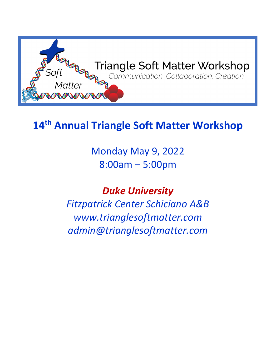

# **14th Annual Triangle Soft Matter Workshop**

Monday May 9, 2022 8:00am – 5:00pm

*Duke University*

*Fitzpatrick Center Schiciano A&B www.trianglesoftmatter.com admin@trianglesoftmatter.com*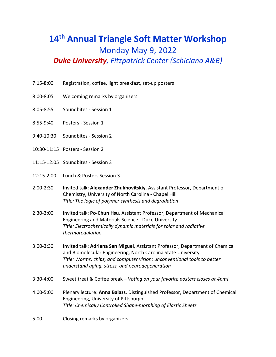# **14th Annual Triangle Soft Matter Workshop** Monday May 9, 2022 *Duke University, Fitzpatrick Center (Schiciano A&B)*

- 7:15-8:00 Registration, coffee, light breakfast, set-up posters
- 8:00-8:05 Welcoming remarks by organizers
- 8:05-8:55 Soundbites Session 1
- 8:55-9:40 Posters Session 1
- 9:40-10:30 Soundbites Session 2
- 10:30-11:15 Posters Session 2
- 11:15-12:05 Soundbites Session 3
- 12:15-2:00 Lunch & Posters Session 3
- 2:00-2:30 Invited talk: **Alexander Zhukhovitskiy**, Assistant Professor, Department of Chemistry, University of North Carolina - Chapel Hill *Title: The logic of polymer synthesis and degradation*
- 2:30-3:00 Invited talk: **Po-Chun Hsu**, Assistant Professor, Department of Mechanical Engineering and Materials Science - Duke University *Title: Electrochemically dynamic materials for solar and radiative thermoregulation*
- 3:00-3:30 Invited talk: **Adriana San Miguel**, Assistant Professor, Department of Chemical and Biomolecular Engineering, North Carolina State University *Title: Worms, chips, and computer vision: unconventional tools to better understand aging, stress, and neurodegeneration*
- 3:30-4:00 Sweet treat & Coffee break *Voting on your favorite posters closes at 4pm!*
- 4:00-5:00 Plenary lecture: **Anna Balazs**, Distinguished Professor, Department of Chemical Engineering, University of Pittsburgh *Title: Chemically Controlled Shape-morphing of Elastic Sheets*
- 5:00 Closing remarks by organizers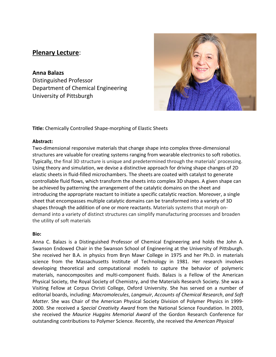# **Plenary Lecture**:

**Anna Balazs**  Distinguished Professor Department of Chemical Engineering University of Pittsburgh



**Title:** Chemically Controlled Shape-morphing of Elastic Sheets

#### **Abstract:**

Two-dimensional responsive materials that change shape into complex three-dimensional structures are valuable for creating systems ranging from wearable electronics to soft robotics. Typically, the final 3D structure is unique and predetermined through the materials' processing. Using theory and simulation, we devise a distinctive approach for driving shape changes of 2D elastic sheets in fluid-filled microchambers. The sheets are coated with catalyst to generate controllable fluid flows, which transform the sheets into complex 3D shapes. A given shape can be achieved by patterning the arrangement of the catalytic domains on the sheet and introducing the appropriate reactant to initiate a specific catalytic reaction. Moreover, a single sheet that encompasses multiple catalytic domains can be transformed into a variety of 3D shapes through the addition of one or more reactants. Materials systems that morph ondemand into a variety of distinct structures can simplify manufacturing processes and broaden the utility of soft materials

#### **Bio:**

Anna C. Balazs is a Distinguished Professor of Chemical Engineering and holds the John A. Swanson Endowed Chair in the Swanson School of Engineering at the University of Pittsburgh. She received her B.A. in physics from Bryn Mawr College in 1975 and her Ph.D. in materials science from the Massachusetts Institute of Technology in 1981. Her research involves developing theoretical and computational models to capture the behavior of polymeric materials, nanocomposites and multi-component fluids. Balazs is a Fellow of the American Physical Society, the Royal Society of Chemistry, and the Materials Research Society. She was a Visiting Fellow at Corpus Christi College, Oxford University. She has served on a number of editorial boards, including: *Macromolecules*, *Langmuir*, *Accounts of Chemical Research*, *and Soft Matter.* She was Chair of the American Physical Society Division of Polymer Physics in 1999- 2000. She received a *Special Creativity Award* from the National Science Foundation. In 2003, she received the *Maurice Huggins Memorial Award* of the Gordon Research Conference for outstanding contributions to Polymer Science. Recently, she received the *American Physical*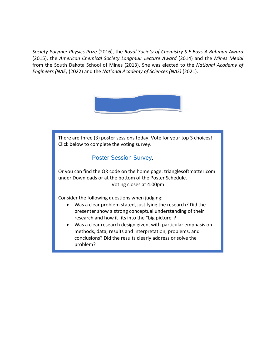*Society Polymer Physics Prize* (2016), the *Royal Society of Chemistry S F Boys-A Rahman Award* (2015), the *American Chemical Society Langmuir Lecture Award* (2014) and the *Mines Medal* from the South Dakota School of Mines (2013). She was elected to the *National Academy of Engineers (NAE)* (2022) and the *National Academy of Sciences (NAS)* (2021).



There are three (3) poster sessions today. Vote for your top 3 choices! Click below to complete the voting survey.

# [Poster Session Survey](https://duke.qualtrics.com/jfe/form/SV_5mX81LBk3JzEgjY).

Or you can find the QR code on the home page: trianglesoftmatter.com under Downloads or at the bottom of the Poster Schedule. Voting closes at 4:00pm

Consider the following questions when judging:

I

- Was a clear problem stated, justifying the research? Did the presenter show a strong conceptual understanding of their research and how it fits into the "big picture"?
- Was a clear research design given, with particular emphasis on methods, data, results and interpretation, problems, and conclusions? Did the results clearly address or solve the problem?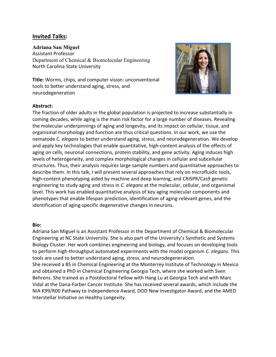# **Invited Talks:**

#### **Adriana San Miguel**

Assistant Professor Department of Chemical & Biomolecular Engineering North Carolina State University



**Title:** Worms, chips, and computer vision: unconventional tools to better understand aging, stress, and neurodegeneration

#### **Abstract:**

The fraction of older adults in the global population is projected to increase substantially in coming decades, while aging is the main risk factor for a large number of diseases. Revealing the molecular underpinnings of aging and longevity, and its impact on cellular, tissue, and organismal morphology and function are thus critical questions. In our work, we use the nematode *C. elegans* to better understand aging, stress, and neurodegeneration. We develop and apply key technologies that enable quantitative, high-content analysis of the effects of aging on cells, neuronal connections, protein stability, and gene activity. Aging induces high levels of heterogeneity, and complex morphological changes in cellular and subcellular structures. Thus, their analysis requires large sample numbers and quantitative approaches to describe them. In this talk, I will present several approaches that rely on microfluidic tools, high-content phenotyping aided by machine and deep learning, and CRISPR/Cas9 genetic engineering to study aging and stress in *C. elegans* at the molecular, cellular, and organismal level. This work has enabled quantitative analysis of key aging molecular components and phenotypes that enable lifespan prediction, identification of aging-relevant genes, and the identification of aging-specific degenerative changes in neurons.

#### **Bio:**

Adriana San Miguel is an Assistant Professor in the Department of Chemical & Biomolecular Engineering at NC State University. She is also part of the University's Synthetic and Systems Biology Cluster. Her work combines engineering and biology, and focuses on developing tools to perform high-throughput automated experiments with the model organism *C. elegans.* This tools are used to better understand aging, stress, and neurodegeneration. She received a BS in Chemical Engineering at the Monterrey Institute of Technology in Mexico and obtained a PhD in Chemical Engineering Georgia Tech, where she worked with Sven Behrens. She trained as a Postdoctoral Fellow with Hang Lu at Georgia Tech and with Marc Vidal at the Dana-Farber Cancer Institute. She has received several awards, which include the

NIA K99/R00 Pathway to Independence Award, DOD New Investigator Award, and the AMED Interstellar Initiative on Healthy Longevity.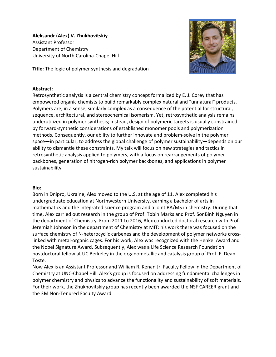**Aleksandr (Alex) V. Zhukhovitskiy** Assistant Professor Department of Chemistry University of North Carolina-Chapel Hill



**Title:** The logic of polymer synthesis and degradation

#### **Abstract:**

Retrosynthetic analysis is a central chemistry concept formalized by E. J. Corey that has empowered organic chemists to build remarkably complex natural and "unnatural" products. Polymers are, in a sense, similarly complex as a consequence of the potential for structural, sequence, architectural, and stereochemical isomerism. Yet, retrosynthetic analysis remains underutilized in polymer synthesis; instead, design of polymeric targets is usually constrained by forward-synthetic considerations of established monomer pools and polymerization methods. Consequently, our ability to further innovate and problem-solve in the polymer space—in particular, to address the global challenge of polymer sustainability—depends on our ability to dismantle these constraints. My talk will focus on new strategies and tactics in retrosynthetic analysis applied to polymers, with a focus on rearrangements of polymer backbones, generation of nitrogen-rich polymer backbones, and applications in polymer sustainability.

#### **Bio:**

Born in Dnipro, Ukraine, Alex moved to the U.S. at the age of 11. Alex completed his undergraduate education at Northwestern University, earning a bachelor of arts in mathematics and the integrated science program and a joint BA/MS in chemistry. During that time, Alex carried out research in the group of Prof. Tobin Marks and Prof. SonBinh Nguyen in the department of Chemistry. From 2011 to 2016, Alex conducted doctoral research with Prof. Jeremiah Johnson in the department of Chemistry at MIT: his work there was focused on the surface chemistry of N-heterocyclic carbenes and the development of polymer networks crosslinked with metal-organic cages. For his work, Alex was recognized with the Henkel Award and the Nobel Signature Award. Subsequently, Alex was a Life Science Research Foundation postdoctoral fellow at UC Berkeley in the organometallic and catalysis group of Prof. F. Dean Toste.

Now Alex is an Assistant Professor and William R. Kenan Jr. Faculty Fellow in the Department of Chemistry at UNC-Chapel Hill. Alex's group is focused on addressing fundamental challenges in polymer chemistry and physics to advance the functionality and sustainability of soft materials. For their work, the Zhukhovitskiy group has recently been awarded the NSF CAREER grant and the 3M Non-Tenured Faculty Award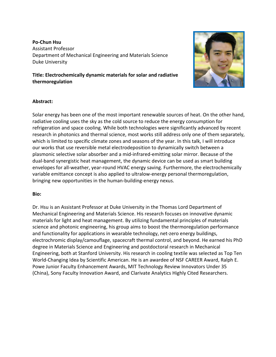### **Po-Chun Hsu** Assistant Professor Department of Mechanical Engineering and Materials Science Duke University

**Title: Electrochemically dynamic materials for solar and radiative thermoregulation** 



#### **Abstract:**

Solar energy has been one of the most important renewable sources of heat. On the other hand, radiative cooling uses the sky as the cold source to reduce the energy consumption for refrigeration and space cooling. While both technologies were significantly advanced by recent research in photonics and thermal science, most works still address only one of them separately, which is limited to specific climate zones and seasons of the year. In this talk, I will introduce our works that use reversible metal electrodeposition to dynamically switch between a plasmonic selective solar absorber and a mid-infrared-emitting solar mirror. Because of the dual-band synergistic heat management, the dynamic device can be used as smart building envelopes for all-weather, year-round HVAC energy saving. Furthermore, the electrochemically variable emittance concept is also applied to ultralow-energy personal thermoregulation, bringing new opportunities in the human-building-energy nexus.

#### **Bio:**

Dr. Hsu is an Assistant Professor at Duke University in the Thomas Lord Department of Mechanical Engineering and Materials Science. His research focuses on innovative dynamic materials for light and heat management. By utilizing fundamental principles of materials science and photonic engineering, his group aims to boost the thermoregulation performance and functionality for applications in wearable technology, net-zero energy buildings, electrochromic display/camouflage, spacecraft thermal control, and beyond. He earned his PhD degree in Materials Science and Engineering and postdoctoral research in Mechanical Engineering, both at Stanford University. His research in cooling textile was selected as Top Ten World-Changing Idea by Scientific American. He is an awardee of NSF CAREER Award, Ralph E. Powe Junior Faculty Enhancement Awards, MIT Technology Review Innovators Under 35 (China), Sony Faculty Innovation Award, and Clarivate Analytics Highly Cited Researchers.